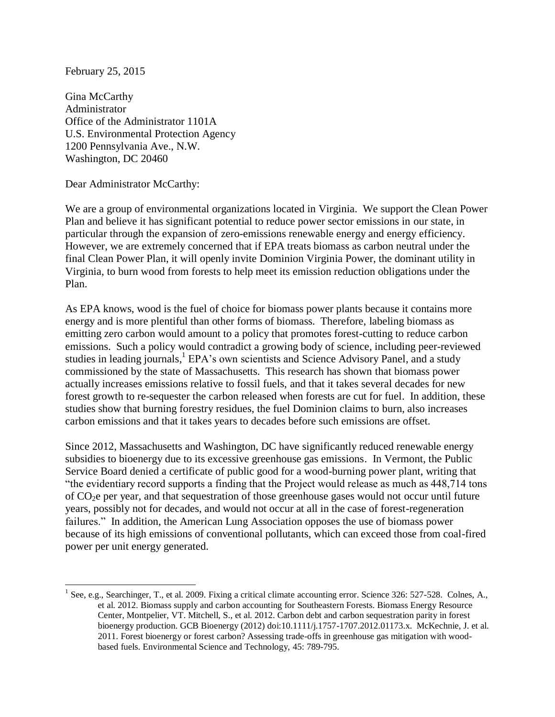February 25, 2015

Gina McCarthy Administrator Office of the Administrator 1101A U.S. Environmental Protection Agency 1200 Pennsylvania Ave., N.W. Washington, DC 20460

Dear Administrator McCarthy:

We are a group of environmental organizations located in Virginia. We support the Clean Power Plan and believe it has significant potential to reduce power sector emissions in our state, in particular through the expansion of zero-emissions renewable energy and energy efficiency. However, we are extremely concerned that if EPA treats biomass as carbon neutral under the final Clean Power Plan, it will openly invite Dominion Virginia Power, the dominant utility in Virginia, to burn wood from forests to help meet its emission reduction obligations under the Plan.

As EPA knows, wood is the fuel of choice for biomass power plants because it contains more energy and is more plentiful than other forms of biomass. Therefore, labeling biomass as emitting zero carbon would amount to a policy that promotes forest-cutting to reduce carbon emissions. Such a policy would contradict a growing body of science, including peer-reviewed studies in leading journals,<sup>1</sup> EPA's own scientists and Science Advisory Panel, and a study commissioned by the state of Massachusetts. This research has shown that biomass power actually increases emissions relative to fossil fuels, and that it takes several decades for new forest growth to re-sequester the carbon released when forests are cut for fuel. In addition, these studies show that burning forestry residues, the fuel Dominion claims to burn, also increases carbon emissions and that it takes years to decades before such emissions are offset.

Since 2012, Massachusetts and Washington, DC have significantly reduced renewable energy subsidies to bioenergy due to its excessive greenhouse gas emissions. In Vermont, the Public Service Board denied a certificate of public good for a wood-burning power plant, writing that "the evidentiary record supports a finding that the Project would release as much as 448,714 tons of  $CO<sub>2</sub>e$  per year, and that sequestration of those greenhouse gases would not occur until future years, possibly not for decades, and would not occur at all in the case of forest-regeneration failures." In addition, the American Lung Association opposes the use of biomass power because of its high emissions of conventional pollutants, which can exceed those from coal-fired power per unit energy generated.

<sup>1&</sup>lt;br><sup>1</sup> See, e.g., Searchinger, T., et al. 2009. Fixing a critical climate accounting error. Science 326: 527-528. Colnes, A., et al. 2012. Biomass supply and carbon accounting for Southeastern Forests. Biomass Energy Resource Center, Montpelier, VT. Mitchell, S., et al. 2012. Carbon debt and carbon sequestration parity in forest bioenergy production. GCB Bioenergy (2012) doi:10.1111/j.1757-1707.2012.01173.x. McKechnie, J. et al. 2011. Forest bioenergy or forest carbon? Assessing trade-offs in greenhouse gas mitigation with woodbased fuels. Environmental Science and Technology, 45: 789-795.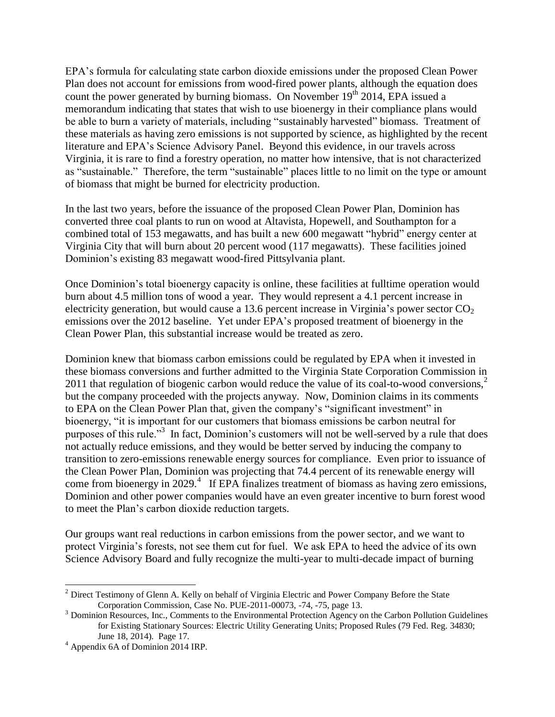EPA's formula for calculating state carbon dioxide emissions under the proposed Clean Power Plan does not account for emissions from wood-fired power plants, although the equation does count the power generated by burning biomass. On November  $19<sup>th</sup> 2014$ , EPA issued a memorandum indicating that states that wish to use bioenergy in their compliance plans would be able to burn a variety of materials, including "sustainably harvested" biomass. Treatment of these materials as having zero emissions is not supported by science, as highlighted by the recent literature and EPA's Science Advisory Panel. Beyond this evidence, in our travels across Virginia, it is rare to find a forestry operation, no matter how intensive, that is not characterized as "sustainable." Therefore, the term "sustainable" places little to no limit on the type or amount of biomass that might be burned for electricity production.

In the last two years, before the issuance of the proposed Clean Power Plan, Dominion has converted three coal plants to run on wood at Altavista, Hopewell, and Southampton for a combined total of 153 megawatts, and has built a new 600 megawatt "hybrid" energy center at Virginia City that will burn about 20 percent wood (117 megawatts). These facilities joined Dominion's existing 83 megawatt wood-fired Pittsylvania plant.

Once Dominion's total bioenergy capacity is online, these facilities at fulltime operation would burn about 4.5 million tons of wood a year. They would represent a 4.1 percent increase in electricity generation, but would cause a 13.6 percent increase in Virginia's power sector  $CO<sub>2</sub>$ emissions over the 2012 baseline. Yet under EPA's proposed treatment of bioenergy in the Clean Power Plan, this substantial increase would be treated as zero.

Dominion knew that biomass carbon emissions could be regulated by EPA when it invested in these biomass conversions and further admitted to the Virginia State Corporation Commission in 2011 that regulation of biogenic carbon would reduce the value of its coal-to-wood conversions, $\frac{2}{3}$ but the company proceeded with the projects anyway. Now, Dominion claims in its comments to EPA on the Clean Power Plan that, given the company's "significant investment" in bioenergy, "it is important for our customers that biomass emissions be carbon neutral for purposes of this rule."<sup>3</sup> In fact, Dominion's customers will not be well-served by a rule that does not actually reduce emissions, and they would be better served by inducing the company to transition to zero-emissions renewable energy sources for compliance. Even prior to issuance of the Clean Power Plan, Dominion was projecting that 74.4 percent of its renewable energy will come from bioenergy in 2029. $4$  If EPA finalizes treatment of biomass as having zero emissions, Dominion and other power companies would have an even greater incentive to burn forest wood to meet the Plan's carbon dioxide reduction targets.

Our groups want real reductions in carbon emissions from the power sector, and we want to protect Virginia's forests, not see them cut for fuel. We ask EPA to heed the advice of its own Science Advisory Board and fully recognize the multi-year to multi-decade impact of burning

 $\overline{a}$  $2^2$  Direct Testimony of Glenn A. Kelly on behalf of Virginia Electric and Power Company Before the State Corporation Commission, Case No. PUE-2011-00073, -74, -75, page 13.

 $3$  Dominion Resources, Inc., Comments to the Environmental Protection Agency on the Carbon Pollution Guidelines for Existing Stationary Sources: Electric Utility Generating Units; Proposed Rules (79 Fed. Reg. 34830; June 18, 2014). Page 17.

<sup>4</sup> Appendix 6A of Dominion 2014 IRP.